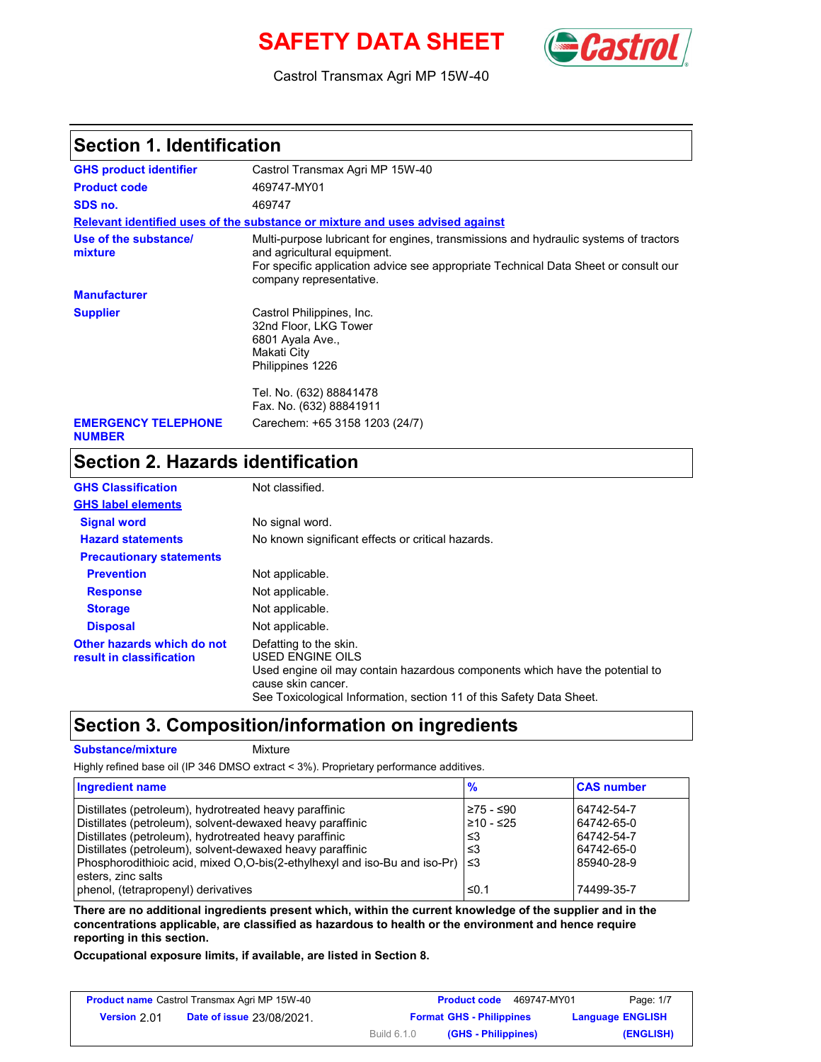## **SAFETY DATA SHEET** (**Cast**



Castrol Transmax Agri MP 15W-40

#### **Section 1. Identification**

| <b>GHS product identifier</b>               | Castrol Transmax Agri MP 15W-40                                                                                                                                                                                                       |  |  |
|---------------------------------------------|---------------------------------------------------------------------------------------------------------------------------------------------------------------------------------------------------------------------------------------|--|--|
| <b>Product code</b>                         | 469747-MY01                                                                                                                                                                                                                           |  |  |
| SDS no.                                     | 469747                                                                                                                                                                                                                                |  |  |
|                                             | Relevant identified uses of the substance or mixture and uses advised against                                                                                                                                                         |  |  |
| Use of the substance/<br>mixture            | Multi-purpose lubricant for engines, transmissions and hydraulic systems of tractors<br>and agricultural equipment.<br>For specific application advice see appropriate Technical Data Sheet or consult our<br>company representative. |  |  |
| <b>Manufacturer</b>                         |                                                                                                                                                                                                                                       |  |  |
| <b>Supplier</b>                             | Castrol Philippines, Inc.<br>32nd Floor, LKG Tower<br>6801 Ayala Ave.,<br>Makati City<br>Philippines 1226                                                                                                                             |  |  |
|                                             | Tel. No. (632) 88841478<br>Fax. No. (632) 88841911                                                                                                                                                                                    |  |  |
| <b>EMERGENCY TELEPHONE</b><br><b>NUMBER</b> | Carechem: +65 3158 1203 (24/7)                                                                                                                                                                                                        |  |  |

# **Section 2. Hazards identification**

| <b>GHS Classification</b>                              | Not classified.                                                                                                                                                                                                          |
|--------------------------------------------------------|--------------------------------------------------------------------------------------------------------------------------------------------------------------------------------------------------------------------------|
| <b>GHS label elements</b>                              |                                                                                                                                                                                                                          |
| <b>Signal word</b>                                     | No signal word.                                                                                                                                                                                                          |
| <b>Hazard statements</b>                               | No known significant effects or critical hazards.                                                                                                                                                                        |
| <b>Precautionary statements</b>                        |                                                                                                                                                                                                                          |
| <b>Prevention</b>                                      | Not applicable.                                                                                                                                                                                                          |
| <b>Response</b>                                        | Not applicable.                                                                                                                                                                                                          |
| <b>Storage</b>                                         | Not applicable.                                                                                                                                                                                                          |
| <b>Disposal</b>                                        | Not applicable.                                                                                                                                                                                                          |
| Other hazards which do not<br>result in classification | Defatting to the skin.<br>USED ENGINE OILS<br>Used engine oil may contain hazardous components which have the potential to<br>cause skin cancer.<br>See Toxicological Information, section 11 of this Safety Data Sheet. |

#### **Section 3. Composition/information on ingredients**

#### **Substance/mixture** Mixture

Highly refined base oil (IP 346 DMSO extract < 3%). Proprietary performance additives.

| Ingredient name                                                                    | $\frac{9}{6}$ | <b>CAS number</b> |
|------------------------------------------------------------------------------------|---------------|-------------------|
| Distillates (petroleum), hydrotreated heavy paraffinic                             | ≥75 - ≤90     | 64742-54-7        |
| Distillates (petroleum), solvent-dewaxed heavy paraffinic                          | l≥10 - ≤25    | 64742-65-0        |
| Distillates (petroleum), hydrotreated heavy paraffinic                             | ≤3            | 64742-54-7        |
| Distillates (petroleum), solvent-dewaxed heavy paraffinic                          | ≤3            | 64742-65-0        |
| Phosphorodithioic acid, mixed O,O-bis(2-ethylhexyl and iso-Bu and iso-Pr) $\leq$ 3 |               | 85940-28-9        |
| esters, zinc salts                                                                 |               |                   |
| phenol, (tetrapropenyl) derivatives                                                | ≤0.1          | 74499-35-7        |

**There are no additional ingredients present which, within the current knowledge of the supplier and in the concentrations applicable, are classified as hazardous to health or the environment and hence require reporting in this section.**

**Occupational exposure limits, if available, are listed in Section 8.**

| <b>Product name</b> Castrol Transmax Agri MP 15W-40 |                                  |             | 469747-MY01<br><b>Product code</b> | Page: 1/7               |
|-----------------------------------------------------|----------------------------------|-------------|------------------------------------|-------------------------|
| <b>Version 2.01</b>                                 | <b>Date of issue 23/08/2021.</b> |             | <b>Format GHS - Philippines</b>    | <b>Language ENGLISH</b> |
|                                                     |                                  | Build 6.1.0 | (GHS - Philippines)                | (ENGLISH)               |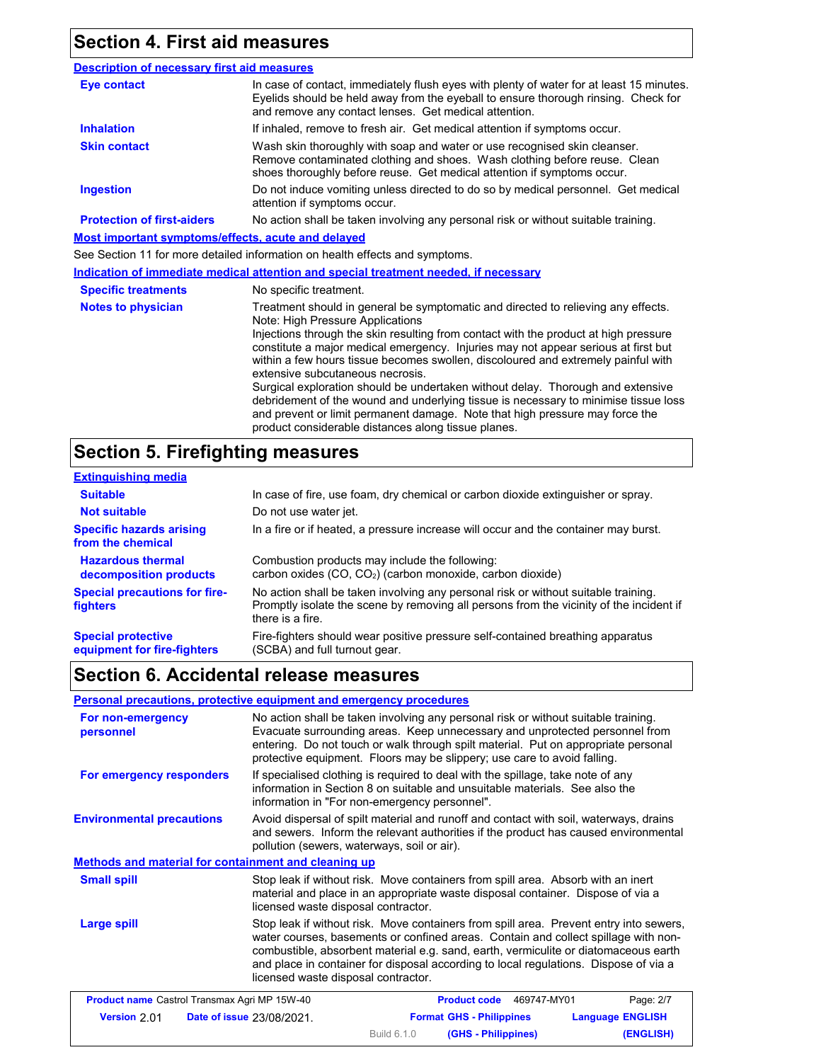## **Section 4. First aid measures**

| <b>Description of necessary first aid measures</b> |                                                                                                                                                                                                                                                                                                                                                                                                                                                                                                                                                                                                                                                                                                                                               |  |  |
|----------------------------------------------------|-----------------------------------------------------------------------------------------------------------------------------------------------------------------------------------------------------------------------------------------------------------------------------------------------------------------------------------------------------------------------------------------------------------------------------------------------------------------------------------------------------------------------------------------------------------------------------------------------------------------------------------------------------------------------------------------------------------------------------------------------|--|--|
| <b>Eye contact</b>                                 | In case of contact, immediately flush eyes with plenty of water for at least 15 minutes.<br>Eyelids should be held away from the eyeball to ensure thorough rinsing. Check for<br>and remove any contact lenses. Get medical attention.                                                                                                                                                                                                                                                                                                                                                                                                                                                                                                       |  |  |
| <b>Inhalation</b>                                  | If inhaled, remove to fresh air. Get medical attention if symptoms occur.                                                                                                                                                                                                                                                                                                                                                                                                                                                                                                                                                                                                                                                                     |  |  |
| <b>Skin contact</b>                                | Wash skin thoroughly with soap and water or use recognised skin cleanser.<br>Remove contaminated clothing and shoes. Wash clothing before reuse. Clean<br>shoes thoroughly before reuse. Get medical attention if symptoms occur.                                                                                                                                                                                                                                                                                                                                                                                                                                                                                                             |  |  |
| <b>Ingestion</b>                                   | Do not induce vomiting unless directed to do so by medical personnel. Get medical<br>attention if symptoms occur.                                                                                                                                                                                                                                                                                                                                                                                                                                                                                                                                                                                                                             |  |  |
| <b>Protection of first-aiders</b>                  | No action shall be taken involving any personal risk or without suitable training.                                                                                                                                                                                                                                                                                                                                                                                                                                                                                                                                                                                                                                                            |  |  |
| Most important symptoms/effects, acute and delayed |                                                                                                                                                                                                                                                                                                                                                                                                                                                                                                                                                                                                                                                                                                                                               |  |  |
|                                                    | See Section 11 for more detailed information on health effects and symptoms.                                                                                                                                                                                                                                                                                                                                                                                                                                                                                                                                                                                                                                                                  |  |  |
|                                                    | Indication of immediate medical attention and special treatment needed, if necessary                                                                                                                                                                                                                                                                                                                                                                                                                                                                                                                                                                                                                                                          |  |  |
| <b>Specific treatments</b>                         | No specific treatment.                                                                                                                                                                                                                                                                                                                                                                                                                                                                                                                                                                                                                                                                                                                        |  |  |
| <b>Notes to physician</b>                          | Treatment should in general be symptomatic and directed to relieving any effects.<br>Note: High Pressure Applications<br>Injections through the skin resulting from contact with the product at high pressure<br>constitute a major medical emergency. Injuries may not appear serious at first but<br>within a few hours tissue becomes swollen, discoloured and extremely painful with<br>extensive subcutaneous necrosis.<br>Surgical exploration should be undertaken without delay. Thorough and extensive<br>debridement of the wound and underlying tissue is necessary to minimise tissue loss<br>and prevent or limit permanent damage. Note that high pressure may force the<br>product considerable distances along tissue planes. |  |  |

## **Section 5. Firefighting measures**

| <b>Extinguishing media</b>                               |                                                                                                                                                                                                   |
|----------------------------------------------------------|---------------------------------------------------------------------------------------------------------------------------------------------------------------------------------------------------|
| <b>Suitable</b>                                          | In case of fire, use foam, dry chemical or carbon dioxide extinguisher or spray.                                                                                                                  |
| <b>Not suitable</b>                                      | Do not use water jet.                                                                                                                                                                             |
| <b>Specific hazards arising</b><br>from the chemical     | In a fire or if heated, a pressure increase will occur and the container may burst.                                                                                                               |
| <b>Hazardous thermal</b><br>decomposition products       | Combustion products may include the following:<br>carbon oxides (CO, CO <sub>2</sub> ) (carbon monoxide, carbon dioxide)                                                                          |
| <b>Special precautions for fire-</b><br><b>fighters</b>  | No action shall be taken involving any personal risk or without suitable training.<br>Promptly isolate the scene by removing all persons from the vicinity of the incident if<br>there is a fire. |
| <b>Special protective</b><br>equipment for fire-fighters | Fire-fighters should wear positive pressure self-contained breathing apparatus<br>(SCBA) and full turnout gear.                                                                                   |

## **Section 6. Accidental release measures**

#### **Personal precautions, protective equipment and emergency procedures**

| For non-emergency<br>personnel                                                                                                                                                                                                                                                                                                                                                                                           | No action shall be taken involving any personal risk or without suitable training.<br>Evacuate surrounding areas. Keep unnecessary and unprotected personnel from<br>entering. Do not touch or walk through spilt material. Put on appropriate personal<br>protective equipment. Floors may be slippery; use care to avoid falling. |                          |           |
|--------------------------------------------------------------------------------------------------------------------------------------------------------------------------------------------------------------------------------------------------------------------------------------------------------------------------------------------------------------------------------------------------------------------------|-------------------------------------------------------------------------------------------------------------------------------------------------------------------------------------------------------------------------------------------------------------------------------------------------------------------------------------|--------------------------|-----------|
| For emergency responders                                                                                                                                                                                                                                                                                                                                                                                                 | If specialised clothing is required to deal with the spillage, take note of any<br>information in Section 8 on suitable and unsuitable materials. See also the<br>information in "For non-emergency personnel".                                                                                                                     |                          |           |
| <b>Environmental precautions</b>                                                                                                                                                                                                                                                                                                                                                                                         | Avoid dispersal of spilt material and runoff and contact with soil, waterways, drains<br>and sewers. Inform the relevant authorities if the product has caused environmental<br>pollution (sewers, waterways, soil or air).                                                                                                         |                          |           |
| Methods and material for containment and cleaning up                                                                                                                                                                                                                                                                                                                                                                     |                                                                                                                                                                                                                                                                                                                                     |                          |           |
| <b>Small spill</b>                                                                                                                                                                                                                                                                                                                                                                                                       | Stop leak if without risk. Move containers from spill area. Absorb with an inert<br>material and place in an appropriate waste disposal container. Dispose of via a<br>licensed waste disposal contractor.                                                                                                                          |                          |           |
| Stop leak if without risk. Move containers from spill area. Prevent entry into sewers,<br><b>Large spill</b><br>water courses, basements or confined areas. Contain and collect spillage with non-<br>combustible, absorbent material e.g. sand, earth, vermiculite or diatomaceous earth<br>and place in container for disposal according to local regulations. Dispose of via a<br>licensed waste disposal contractor. |                                                                                                                                                                                                                                                                                                                                     |                          |           |
| <b>Product name</b> Castrol Transmax Agri MP 15W-40                                                                                                                                                                                                                                                                                                                                                                      |                                                                                                                                                                                                                                                                                                                                     | Product code 469747-MY01 | Page: 2/7 |

|                     | <b>Product name</b> Castrol Transmax Agri MP 15W-40 |                    | <b>Product code</b><br>469747-MY01 | Page: 2/7               |
|---------------------|-----------------------------------------------------|--------------------|------------------------------------|-------------------------|
| <b>Version 2.01</b> | <b>Date of issue 23/08/2021.</b>                    |                    | <b>Format GHS - Philippines</b>    | <b>Language ENGLISH</b> |
|                     |                                                     | <b>Build 6.1.0</b> | (GHS - Philippines)                | (ENGLISH)               |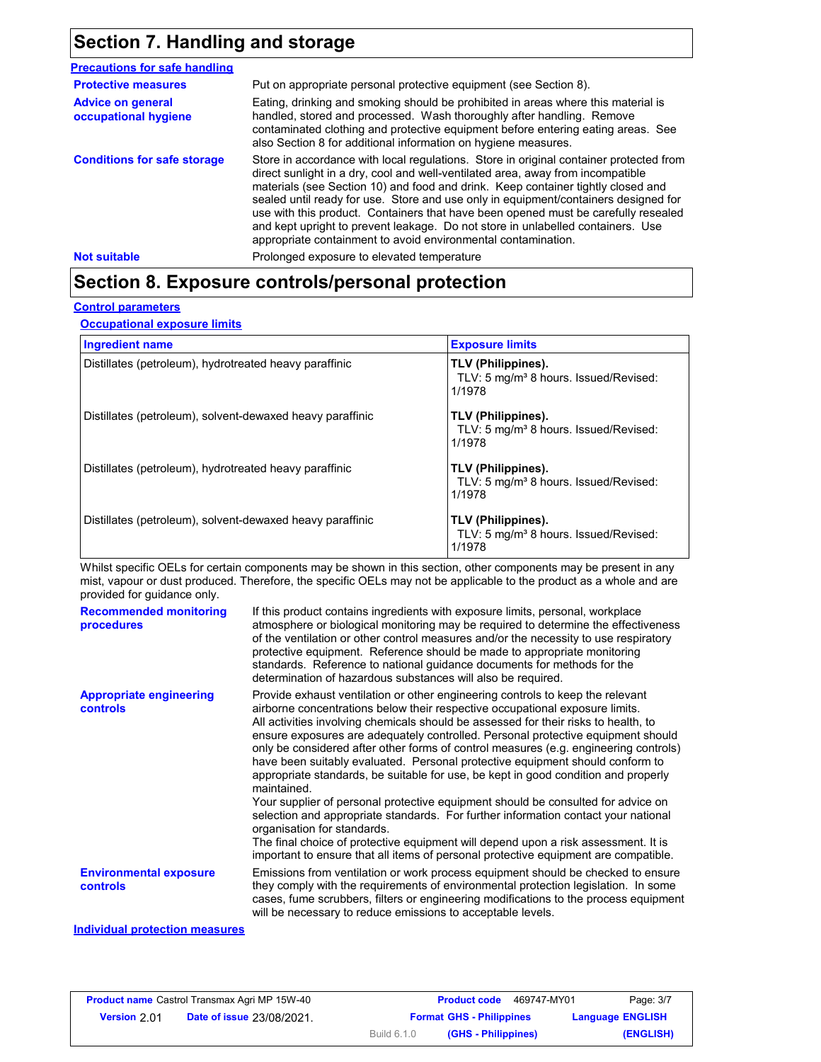### **Section 7. Handling and storage**

| <b>Precautions for safe handling</b>             |                                                                                                                                                                                                                                                                                                                                                                                                                                                                                                                                                                                                |
|--------------------------------------------------|------------------------------------------------------------------------------------------------------------------------------------------------------------------------------------------------------------------------------------------------------------------------------------------------------------------------------------------------------------------------------------------------------------------------------------------------------------------------------------------------------------------------------------------------------------------------------------------------|
| <b>Protective measures</b>                       | Put on appropriate personal protective equipment (see Section 8).                                                                                                                                                                                                                                                                                                                                                                                                                                                                                                                              |
| <b>Advice on general</b><br>occupational hygiene | Eating, drinking and smoking should be prohibited in areas where this material is<br>handled, stored and processed. Wash thoroughly after handling. Remove<br>contaminated clothing and protective equipment before entering eating areas. See<br>also Section 8 for additional information on hygiene measures.                                                                                                                                                                                                                                                                               |
| <b>Conditions for safe storage</b>               | Store in accordance with local regulations. Store in original container protected from<br>direct sunlight in a dry, cool and well-ventilated area, away from incompatible<br>materials (see Section 10) and food and drink. Keep container tightly closed and<br>sealed until ready for use. Store and use only in equipment/containers designed for<br>use with this product. Containers that have been opened must be carefully resealed<br>and kept upright to prevent leakage. Do not store in unlabelled containers. Use<br>appropriate containment to avoid environmental contamination. |
| <b>Not suitable</b>                              | Prolonged exposure to elevated temperature                                                                                                                                                                                                                                                                                                                                                                                                                                                                                                                                                     |

### **Section 8. Exposure controls/personal protection**

#### **Control parameters**

**Occupational exposure limits**

| <b>Ingredient name</b>                                    | <b>Exposure limits</b>                                                            |
|-----------------------------------------------------------|-----------------------------------------------------------------------------------|
| Distillates (petroleum), hydrotreated heavy paraffinic    | TLV (Philippines).<br>TLV: 5 mg/m <sup>3</sup> 8 hours. Issued/Revised:<br>1/1978 |
| Distillates (petroleum), solvent-dewaxed heavy paraffinic | TLV (Philippines).<br>TLV: 5 mg/m <sup>3</sup> 8 hours. Issued/Revised:<br>1/1978 |
| Distillates (petroleum), hydrotreated heavy paraffinic    | TLV (Philippines).<br>TLV: 5 mg/m <sup>3</sup> 8 hours. Issued/Revised:<br>1/1978 |
| Distillates (petroleum), solvent-dewaxed heavy paraffinic | TLV (Philippines).<br>TLV: 5 mg/m <sup>3</sup> 8 hours. Issued/Revised:<br>1/1978 |

Whilst specific OELs for certain components may be shown in this section, other components may be present in any mist, vapour or dust produced. Therefore, the specific OELs may not be applicable to the product as a whole and are provided for guidance only.

| <b>Recommended monitoring</b><br>procedures           | If this product contains ingredients with exposure limits, personal, workplace<br>atmosphere or biological monitoring may be required to determine the effectiveness<br>of the ventilation or other control measures and/or the necessity to use respiratory<br>protective equipment. Reference should be made to appropriate monitoring<br>standards. Reference to national guidance documents for methods for the<br>determination of hazardous substances will also be required.                                                                                                                                                                                                                                                                                                                                                                                                                                                                                                                           |
|-------------------------------------------------------|---------------------------------------------------------------------------------------------------------------------------------------------------------------------------------------------------------------------------------------------------------------------------------------------------------------------------------------------------------------------------------------------------------------------------------------------------------------------------------------------------------------------------------------------------------------------------------------------------------------------------------------------------------------------------------------------------------------------------------------------------------------------------------------------------------------------------------------------------------------------------------------------------------------------------------------------------------------------------------------------------------------|
| <b>Appropriate engineering</b><br><b>controls</b>     | Provide exhaust ventilation or other engineering controls to keep the relevant<br>airborne concentrations below their respective occupational exposure limits.<br>All activities involving chemicals should be assessed for their risks to health, to<br>ensure exposures are adequately controlled. Personal protective equipment should<br>only be considered after other forms of control measures (e.g. engineering controls)<br>have been suitably evaluated. Personal protective equipment should conform to<br>appropriate standards, be suitable for use, be kept in good condition and properly<br>maintained.<br>Your supplier of personal protective equipment should be consulted for advice on<br>selection and appropriate standards. For further information contact your national<br>organisation for standards.<br>The final choice of protective equipment will depend upon a risk assessment. It is<br>important to ensure that all items of personal protective equipment are compatible. |
| <b>Environmental exposure</b><br><b>controls</b><br>. | Emissions from ventilation or work process equipment should be checked to ensure<br>they comply with the requirements of environmental protection legislation. In some<br>cases, fume scrubbers, filters or engineering modifications to the process equipment<br>will be necessary to reduce emissions to acceptable levels.                                                                                                                                                                                                                                                                                                                                                                                                                                                                                                                                                                                                                                                                                 |

#### **Individual protection measures**

| <b>Product name</b> Castrol Transmax Agri MP 15W-40 |                                  |                                 | <b>Product code</b><br>469747-MY01 | Page: 3/7               |
|-----------------------------------------------------|----------------------------------|---------------------------------|------------------------------------|-------------------------|
| <b>Version</b> 2.01                                 | <b>Date of issue 23/08/2021.</b> | <b>Format GHS - Philippines</b> |                                    | <b>Language ENGLISH</b> |
|                                                     |                                  | <b>Build 6.1.0</b>              | (GHS - Philippines)                | (ENGLISH)               |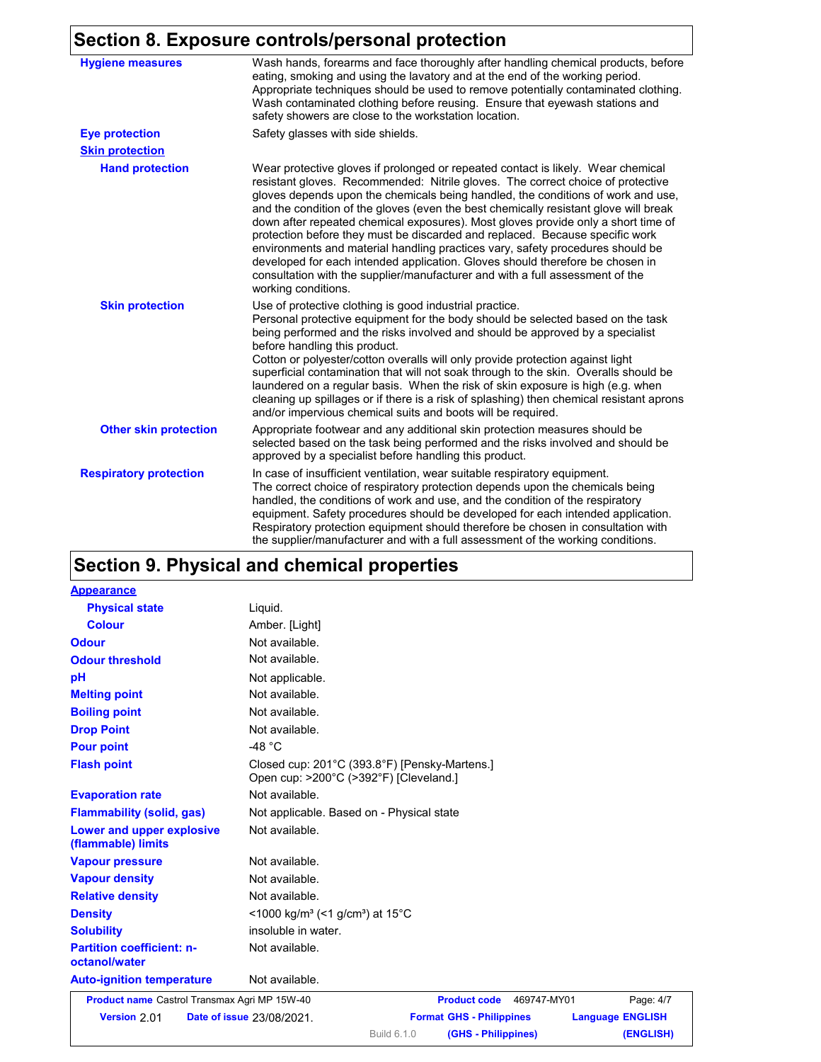### **Section 8. Exposure controls/personal protection**

| 977-11 YI END                 | sourc controlorporcontum protection                                                                                                                                                                                                                                                                                                                                                                                                                                                                                                                                                                                                                                                                                                                                                             |
|-------------------------------|-------------------------------------------------------------------------------------------------------------------------------------------------------------------------------------------------------------------------------------------------------------------------------------------------------------------------------------------------------------------------------------------------------------------------------------------------------------------------------------------------------------------------------------------------------------------------------------------------------------------------------------------------------------------------------------------------------------------------------------------------------------------------------------------------|
| <b>Hygiene measures</b>       | Wash hands, forearms and face thoroughly after handling chemical products, before<br>eating, smoking and using the lavatory and at the end of the working period.<br>Appropriate techniques should be used to remove potentially contaminated clothing.<br>Wash contaminated clothing before reusing. Ensure that eyewash stations and<br>safety showers are close to the workstation location.                                                                                                                                                                                                                                                                                                                                                                                                 |
| <b>Eye protection</b>         | Safety glasses with side shields.                                                                                                                                                                                                                                                                                                                                                                                                                                                                                                                                                                                                                                                                                                                                                               |
| <b>Skin protection</b>        |                                                                                                                                                                                                                                                                                                                                                                                                                                                                                                                                                                                                                                                                                                                                                                                                 |
| <b>Hand protection</b>        | Wear protective gloves if prolonged or repeated contact is likely. Wear chemical<br>resistant gloves. Recommended: Nitrile gloves. The correct choice of protective<br>gloves depends upon the chemicals being handled, the conditions of work and use,<br>and the condition of the gloves (even the best chemically resistant glove will break<br>down after repeated chemical exposures). Most gloves provide only a short time of<br>protection before they must be discarded and replaced. Because specific work<br>environments and material handling practices vary, safety procedures should be<br>developed for each intended application. Gloves should therefore be chosen in<br>consultation with the supplier/manufacturer and with a full assessment of the<br>working conditions. |
| <b>Skin protection</b>        | Use of protective clothing is good industrial practice.<br>Personal protective equipment for the body should be selected based on the task<br>being performed and the risks involved and should be approved by a specialist<br>before handling this product.<br>Cotton or polyester/cotton overalls will only provide protection against light<br>superficial contamination that will not soak through to the skin. Overalls should be<br>laundered on a regular basis. When the risk of skin exposure is high (e.g. when<br>cleaning up spillages or if there is a risk of splashing) then chemical resistant aprons<br>and/or impervious chemical suits and boots will be required.                                                                                                           |
| <b>Other skin protection</b>  | Appropriate footwear and any additional skin protection measures should be<br>selected based on the task being performed and the risks involved and should be<br>approved by a specialist before handling this product.                                                                                                                                                                                                                                                                                                                                                                                                                                                                                                                                                                         |
| <b>Respiratory protection</b> | In case of insufficient ventilation, wear suitable respiratory equipment.<br>The correct choice of respiratory protection depends upon the chemicals being<br>handled, the conditions of work and use, and the condition of the respiratory<br>equipment. Safety procedures should be developed for each intended application.<br>Respiratory protection equipment should therefore be chosen in consultation with<br>the supplier/manufacturer and with a full assessment of the working conditions.                                                                                                                                                                                                                                                                                           |

## **Section 9. Physical and chemical properties**

| <b>Appearance</b>                                 |                                                                                         |
|---------------------------------------------------|-----------------------------------------------------------------------------------------|
| <b>Physical state</b>                             | Liquid.                                                                                 |
| <b>Colour</b>                                     | Amber. [Light]                                                                          |
| <b>Odour</b>                                      | Not available.                                                                          |
| <b>Odour threshold</b>                            | Not available.                                                                          |
| pH                                                | Not applicable.                                                                         |
| <b>Melting point</b>                              | Not available.                                                                          |
| <b>Boiling point</b>                              | Not available.                                                                          |
| <b>Drop Point</b>                                 | Not available.                                                                          |
| <b>Pour point</b>                                 | -48 $^{\circ}$ C                                                                        |
| <b>Flash point</b>                                | Closed cup: 201°C (393.8°F) [Pensky-Martens.]<br>Open cup: >200°C (>392°F) [Cleveland.] |
| <b>Evaporation rate</b>                           | Not available.                                                                          |
| <b>Flammability (solid, gas)</b>                  | Not applicable. Based on - Physical state                                               |
| Lower and upper explosive<br>(flammable) limits   | Not available.                                                                          |
| <b>Vapour pressure</b>                            | Not available.                                                                          |
| <b>Vapour density</b>                             | Not available.                                                                          |
| <b>Relative density</b>                           | Not available.                                                                          |
| <b>Density</b>                                    | <1000 kg/m <sup>3</sup> (<1 g/cm <sup>3</sup> ) at 15 <sup>°</sup> C                    |
| <b>Solubility</b>                                 | insoluble in water.                                                                     |
| <b>Partition coefficient: n-</b><br>octanol/water | Not available.                                                                          |
| <b>Auto-ignition temperature</b>                  | Not available.                                                                          |
| Product name Castrol Transmax Agri MP 15W-40      | <b>Product code</b><br>469747-MY01<br>Page: 4/7                                         |
| Version 2.01                                      | Date of issue 23/08/2021.<br><b>Format GHS - Philippines</b><br><b>Language ENGLISH</b> |

Build 6.1.0

**(GHS - Philippines) (ENGLISH)**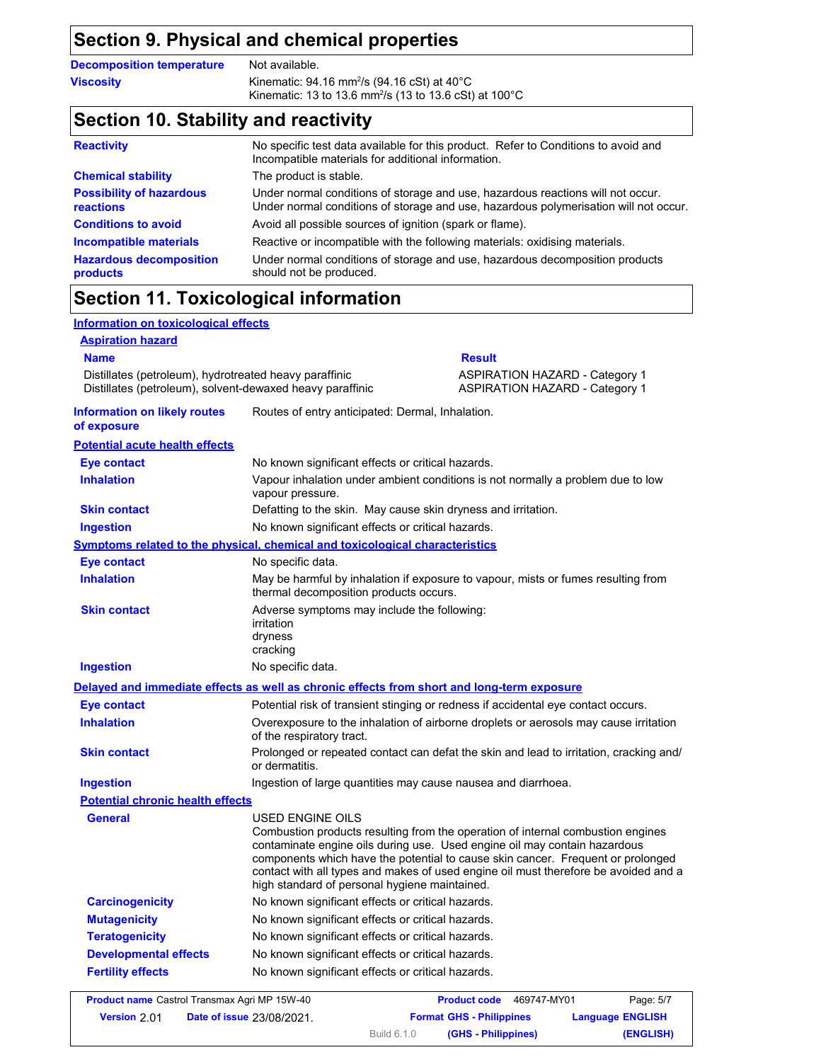### **Section 9. Physical and chemical properties**

**Decomposition temperature** Not available.

**Viscosity Kinematic: 94.16 mm<sup>2</sup>/s (94.16 cSt) at 40°C** Kinematic: 13 to 13.6 mm<sup>2</sup> /s (13 to 13.6 cSt) at 100°C

### **Section 10. Stability and reactivity**

| <b>Reactivity</b>                                   | No specific test data available for this product. Refer to Conditions to avoid and<br>Incompatible materials for additional information.                                |
|-----------------------------------------------------|-------------------------------------------------------------------------------------------------------------------------------------------------------------------------|
| <b>Chemical stability</b>                           | The product is stable.                                                                                                                                                  |
| <b>Possibility of hazardous</b><br><b>reactions</b> | Under normal conditions of storage and use, hazardous reactions will not occur.<br>Under normal conditions of storage and use, hazardous polymerisation will not occur. |
| <b>Conditions to avoid</b>                          | Avoid all possible sources of ignition (spark or flame).                                                                                                                |
| <b>Incompatible materials</b>                       | Reactive or incompatible with the following materials: oxidising materials.                                                                                             |
| <b>Hazardous decomposition</b><br>products          | Under normal conditions of storage and use, hazardous decomposition products<br>should not be produced.                                                                 |

## **Section 11. Toxicological information**

| <b>Information on toxicological effects</b>                                                                         |                                                                                                          |                                                                                                                                                                                                                                                                                                                                        |  |
|---------------------------------------------------------------------------------------------------------------------|----------------------------------------------------------------------------------------------------------|----------------------------------------------------------------------------------------------------------------------------------------------------------------------------------------------------------------------------------------------------------------------------------------------------------------------------------------|--|
| <b>Aspiration hazard</b>                                                                                            |                                                                                                          |                                                                                                                                                                                                                                                                                                                                        |  |
| <b>Name</b>                                                                                                         |                                                                                                          | <b>Result</b>                                                                                                                                                                                                                                                                                                                          |  |
| Distillates (petroleum), hydrotreated heavy paraffinic<br>Distillates (petroleum), solvent-dewaxed heavy paraffinic |                                                                                                          | <b>ASPIRATION HAZARD - Category 1</b><br><b>ASPIRATION HAZARD - Category 1</b>                                                                                                                                                                                                                                                         |  |
| <b>Information on likely routes</b><br>of exposure                                                                  | Routes of entry anticipated: Dermal, Inhalation.                                                         |                                                                                                                                                                                                                                                                                                                                        |  |
| <b>Potential acute health effects</b>                                                                               |                                                                                                          |                                                                                                                                                                                                                                                                                                                                        |  |
| <b>Eye contact</b>                                                                                                  | No known significant effects or critical hazards.                                                        |                                                                                                                                                                                                                                                                                                                                        |  |
| <b>Inhalation</b>                                                                                                   | vapour pressure.                                                                                         | Vapour inhalation under ambient conditions is not normally a problem due to low                                                                                                                                                                                                                                                        |  |
| <b>Skin contact</b>                                                                                                 | Defatting to the skin. May cause skin dryness and irritation.                                            |                                                                                                                                                                                                                                                                                                                                        |  |
| <b>Ingestion</b>                                                                                                    | No known significant effects or critical hazards.                                                        |                                                                                                                                                                                                                                                                                                                                        |  |
|                                                                                                                     | Symptoms related to the physical, chemical and toxicological characteristics                             |                                                                                                                                                                                                                                                                                                                                        |  |
| <b>Eye contact</b>                                                                                                  | No specific data.                                                                                        |                                                                                                                                                                                                                                                                                                                                        |  |
| <b>Inhalation</b>                                                                                                   | thermal decomposition products occurs.                                                                   | May be harmful by inhalation if exposure to vapour, mists or fumes resulting from                                                                                                                                                                                                                                                      |  |
| <b>Skin contact</b>                                                                                                 | Adverse symptoms may include the following:<br>irritation<br>dryness<br>cracking                         |                                                                                                                                                                                                                                                                                                                                        |  |
| <b>Ingestion</b>                                                                                                    | No specific data.                                                                                        |                                                                                                                                                                                                                                                                                                                                        |  |
|                                                                                                                     | Delayed and immediate effects as well as chronic effects from short and long-term exposure               |                                                                                                                                                                                                                                                                                                                                        |  |
| <b>Eye contact</b>                                                                                                  |                                                                                                          | Potential risk of transient stinging or redness if accidental eye contact occurs.                                                                                                                                                                                                                                                      |  |
| <b>Inhalation</b>                                                                                                   | of the respiratory tract.                                                                                | Overexposure to the inhalation of airborne droplets or aerosols may cause irritation                                                                                                                                                                                                                                                   |  |
| <b>Skin contact</b>                                                                                                 | Prolonged or repeated contact can defat the skin and lead to irritation, cracking and/<br>or dermatitis. |                                                                                                                                                                                                                                                                                                                                        |  |
| <b>Ingestion</b>                                                                                                    | Ingestion of large quantities may cause nausea and diarrhoea.                                            |                                                                                                                                                                                                                                                                                                                                        |  |
| <b>Potential chronic health effects</b>                                                                             |                                                                                                          |                                                                                                                                                                                                                                                                                                                                        |  |
| <b>General</b>                                                                                                      | USED ENGINE OILS<br>high standard of personal hygiene maintained.                                        | Combustion products resulting from the operation of internal combustion engines<br>contaminate engine oils during use. Used engine oil may contain hazardous<br>components which have the potential to cause skin cancer. Frequent or prolonged<br>contact with all types and makes of used engine oil must therefore be avoided and a |  |
| <b>Carcinogenicity</b>                                                                                              | No known significant effects or critical hazards.                                                        |                                                                                                                                                                                                                                                                                                                                        |  |
| <b>Mutagenicity</b>                                                                                                 | No known significant effects or critical hazards.                                                        |                                                                                                                                                                                                                                                                                                                                        |  |
| <b>Teratogenicity</b>                                                                                               | No known significant effects or critical hazards.                                                        |                                                                                                                                                                                                                                                                                                                                        |  |
| <b>Developmental effects</b>                                                                                        | No known significant effects or critical hazards.                                                        |                                                                                                                                                                                                                                                                                                                                        |  |
| <b>Fertility effects</b>                                                                                            | No known significant effects or critical hazards.                                                        |                                                                                                                                                                                                                                                                                                                                        |  |

|                     | <b>Product name</b> Castrol Transmax Agri MP 15W-40 |                    | <b>Product code</b><br>469747-MY01 | Page: 5/7               |
|---------------------|-----------------------------------------------------|--------------------|------------------------------------|-------------------------|
| <b>Version 2.01</b> | <b>Date of issue 23/08/2021.</b>                    |                    | <b>Format GHS - Philippines</b>    | <b>Language ENGLISH</b> |
|                     |                                                     | <b>Build 6.1.0</b> | (GHS - Philippines)                | (ENGLISH)               |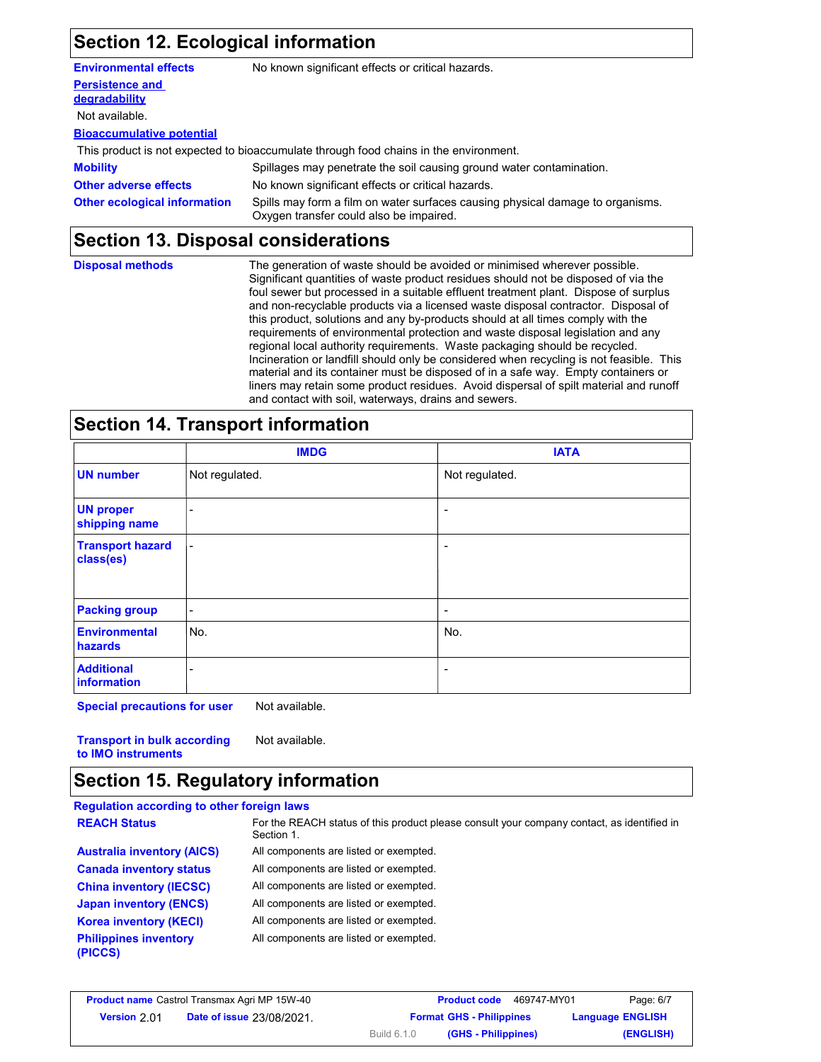## **Section 12. Ecological information**

| No known significant effects or critical hazards.                                                                                                                |
|------------------------------------------------------------------------------------------------------------------------------------------------------------------|
|                                                                                                                                                                  |
|                                                                                                                                                                  |
|                                                                                                                                                                  |
|                                                                                                                                                                  |
| This product is not expected to bioaccumulate through food chains in the environment.                                                                            |
| Spillages may penetrate the soil causing ground water contamination.                                                                                             |
| No known significant effects or critical hazards.                                                                                                                |
| Spills may form a film on water surfaces causing physical damage to organisms.<br><b>Other ecological information</b><br>Oxygen transfer could also be impaired. |
|                                                                                                                                                                  |

## **Section 13. Disposal considerations**

| <b>Disposal methods</b> | The generation of waste should be avoided or minimised wherever possible.<br>Significant quantities of waste product residues should not be disposed of via the<br>foul sewer but processed in a suitable effluent treatment plant. Dispose of surplus<br>and non-recyclable products via a licensed waste disposal contractor. Disposal of<br>this product, solutions and any by-products should at all times comply with the<br>requirements of environmental protection and waste disposal legislation and any<br>regional local authority requirements. Waste packaging should be recycled.<br>Incineration or landfill should only be considered when recycling is not feasible. This<br>material and its container must be disposed of in a safe way. Empty containers or<br>liners may retain some product residues. Avoid dispersal of spilt material and runoff |
|-------------------------|--------------------------------------------------------------------------------------------------------------------------------------------------------------------------------------------------------------------------------------------------------------------------------------------------------------------------------------------------------------------------------------------------------------------------------------------------------------------------------------------------------------------------------------------------------------------------------------------------------------------------------------------------------------------------------------------------------------------------------------------------------------------------------------------------------------------------------------------------------------------------|
|                         | and contact with soil, waterways, drains and sewers.                                                                                                                                                                                                                                                                                                                                                                                                                                                                                                                                                                                                                                                                                                                                                                                                                     |

## **Section 14. Transport information**

|                                        | <b>IMDG</b>              | <b>IATA</b>              |  |
|----------------------------------------|--------------------------|--------------------------|--|
| <b>UN number</b>                       | Not regulated.           | Not regulated.           |  |
| <b>UN proper</b><br>shipping name      | ۰                        |                          |  |
| <b>Transport hazard</b><br>class(es)   | $\blacksquare$           | -                        |  |
| <b>Packing group</b>                   | $\sim$                   | $\overline{\phantom{0}}$ |  |
| <b>Environmental</b><br><b>hazards</b> | No.                      | No.                      |  |
| <b>Additional</b><br>information       | $\overline{\phantom{a}}$ | $\overline{\phantom{0}}$ |  |

**Special precautions for user** Not available.

**Transport in bulk according to IMO instruments** Not available.

### **Section 15. Regulatory information**

| <b>Regulation according to other foreign laws</b> |                                                                                                          |
|---------------------------------------------------|----------------------------------------------------------------------------------------------------------|
| <b>REACH Status</b>                               | For the REACH status of this product please consult your company contact, as identified in<br>Section 1. |
| <b>Australia inventory (AICS)</b>                 | All components are listed or exempted.                                                                   |
| <b>Canada inventory status</b>                    | All components are listed or exempted.                                                                   |
| <b>China inventory (IECSC)</b>                    | All components are listed or exempted.                                                                   |
| <b>Japan inventory (ENCS)</b>                     | All components are listed or exempted.                                                                   |
| <b>Korea inventory (KECI)</b>                     | All components are listed or exempted.                                                                   |
| <b>Philippines inventory</b><br>(PICCS)           | All components are listed or exempted.                                                                   |

| <b>Product name</b> Castrol Transmax Agri MP 15W-40 |                                  | <b>Product code</b>                       | Page: 6/7<br>469747-MY01 |
|-----------------------------------------------------|----------------------------------|-------------------------------------------|--------------------------|
| <b>Version 2.01</b>                                 | <b>Date of issue 23/08/2021.</b> | <b>Format GHS - Philippines</b>           | <b>Language ENGLISH</b>  |
|                                                     |                                  | <b>Build 6.1.0</b><br>(GHS - Philippines) | (ENGLISH)                |